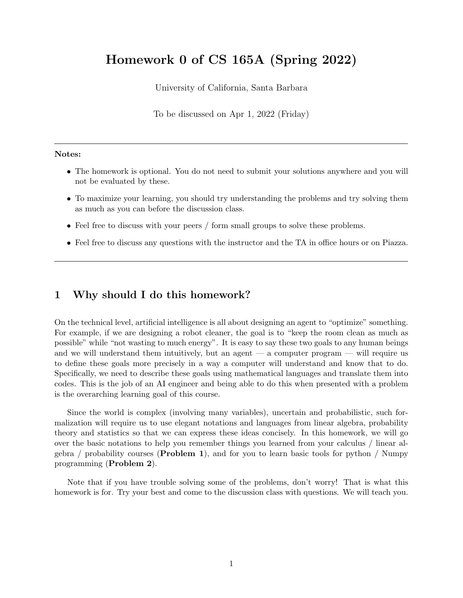# Homework 0 of CS 165A (Spring 2022)

University of California, Santa Barbara

To be discussed on Apr 1, 2022 (Friday)

#### Notes:

- The homework is optional. You do not need to submit your solutions anywhere and you will not be evaluated by these.
- To maximize your learning, you should try understanding the problems and try solving them as much as you can before the discussion class.
- Feel free to discuss with your peers / form small groups to solve these problems.
- Feel free to discuss any questions with the instructor and the TA in office hours or on Piazza.

## 1 Why should I do this homework?

On the technical level, artificial intelligence is all about designing an agent to "optimize" something. For example, if we are designing a robot cleaner, the goal is to "keep the room clean as much as possible" while "not wasting to much energy". It is easy to say these two goals to any human beings and we will understand them intuitively, but an agent  $-$  a computer program  $-$  will require us to define these goals more precisely in a way a computer will understand and know that to do. Specifically, we need to describe these goals using mathematical languages and translate them into codes. This is the job of an AI engineer and being able to do this when presented with a problem is the overarching learning goal of this course.

Since the world is complex (involving many variables), uncertain and probabilistic, such formalization will require us to use elegant notations and languages from linear algebra, probability theory and statistics so that we can express these ideas concisely. In this homework, we will go over the basic notations to help you remember things you learned from your calculus / linear algebra / probability courses (**Problem 1**), and for you to learn basic tools for python / Numpy programming (Problem 2).

Note that if you have trouble solving some of the problems, don't worry! That is what this homework is for. Try your best and come to the discussion class with questions. We will teach you.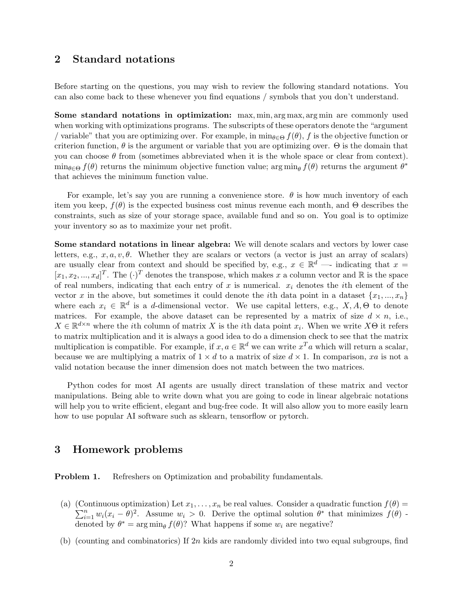## 2 Standard notations

Before starting on the questions, you may wish to review the following standard notations. You can also come back to these whenever you find equations / symbols that you don't understand.

Some standard notations in optimization: max, min, arg max, arg min are commonly used when working with optimizations programs. The subscripts of these operators denote the "argument / variable" that you are optimizing over. For example, in  $\min_{\theta \in \Theta} f(\theta)$ , f is the objective function or criterion function,  $\theta$  is the argument or variable that you are optimizing over.  $\Theta$  is the domain that you can choose  $\theta$  from (sometimes abbreviated when it is the whole space or clear from context).  $\min_{\theta \in \Theta} f(\theta)$  returns the minimum objective function value;  $\arg \min_{\theta} f(\theta)$  returns the argument  $\theta^*$ that achieves the minimum function value.

For example, let's say you are running a convenience store.  $\theta$  is how much inventory of each item you keep,  $f(\theta)$  is the expected business cost minus revenue each month, and  $\Theta$  describes the constraints, such as size of your storage space, available fund and so on. You goal is to optimize your inventory so as to maximize your net profit.

Some standard notations in linear algebra: We will denote scalars and vectors by lower case letters, e.g.,  $x, a, v, \theta$ . Whether they are scalars or vectors (a vector is just an array of scalars) are usually clear from context and should be specified by, e.g.,  $x \in \mathbb{R}^d$  — indicating that  $x =$  $[x_1, x_2, ..., x_d]^T$ . The  $(\cdot)^T$  denotes the transpose, which makes x a column vector and R is the space of real numbers, indicating that each entry of x is numerical.  $x_i$  denotes the *i*th element of the vector x in the above, but sometimes it could denote the *i*th data point in a dataset  $\{x_1, ..., x_n\}$ where each  $x_i \in \mathbb{R}^d$  is a d-dimensional vector. We use capital letters, e.g.,  $X, A, \Theta$  to denote matrices. For example, the above dataset can be represented by a matrix of size  $d \times n$ , i.e.,  $X \in \mathbb{R}^{d \times n}$  where the *i*th column of matrix X is the *i*th data point  $x_i$ . When we write  $X\Theta$  it refers to matrix multiplication and it is always a good idea to do a dimension check to see that the matrix multiplication is compatible. For example, if  $x, a \in \mathbb{R}^d$  we can write  $x^T a$  which will return a scalar, because we are multiplying a matrix of  $1 \times d$  to a matrix of size  $d \times 1$ . In comparison, xa is not a valid notation because the inner dimension does not match between the two matrices.

Python codes for most AI agents are usually direct translation of these matrix and vector manipulations. Being able to write down what you are going to code in linear algebraic notations will help you to write efficient, elegant and bug-free code. It will also allow you to more easily learn how to use popular AI software such as sklearn, tensorflow or pytorch.

#### 3 Homework problems

Problem 1. Refreshers on Optimization and probability fundamentals.

- (a) (Continuous optimization) Let  $x_1, \ldots, x_n$  be real values. Consider a quadratic function  $f(\theta) =$  $\sum_{i=1}^n w_i (x_i - \theta)^2$ . Assume  $w_i > 0$ . Derive the optimal solution  $\theta^*$  that minimizes  $f(\theta)$ . denoted by  $\theta^* = \arg \min_{\theta} f(\theta)$ ? What happens if some  $w_i$  are negative?
- (b) (counting and combinatorics) If  $2n$  kids are randomly divided into two equal subgroups, find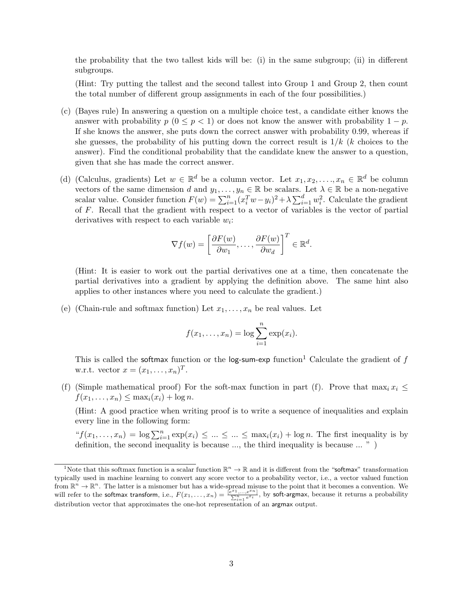the probability that the two tallest kids will be: (i) in the same subgroup; (ii) in different subgroups.

(Hint: Try putting the tallest and the second tallest into Group 1 and Group 2, then count the total number of different group assignments in each of the four possibilities.)

- (c) (Bayes rule) In answering a question on a multiple choice test, a candidate either knows the answer with probability  $p(0 \leq p \leq 1)$  or does not know the answer with probability  $1 - p$ . If she knows the answer, she puts down the correct answer with probability 0.99, whereas if she guesses, the probability of his putting down the correct result is  $1/k$  (k choices to the answer). Find the conditional probability that the candidate knew the answer to a question, given that she has made the correct answer.
- (d) (Calculus, gradients) Let  $w \in \mathbb{R}^d$  be a column vector. Let  $x_1, x_2, \ldots, x_n \in \mathbb{R}^d$  be column vectors of the same dimension d and  $y_1, \ldots, y_n \in \mathbb{R}$  be scalars. Let  $\lambda \in \mathbb{R}$  be a non-negative scalar value. Consider function  $F(w) = \sum_{i=1}^{n} (x_i^T w - y_i)^2 + \lambda \sum_{i=1}^{d} w_i^2$ . Calculate the gradient of F. Recall that the gradient with respect to a vector of variables is the vector of partial derivatives with respect to each variable  $w_i$ :

$$
\nabla f(w) = \left[\frac{\partial F(w)}{\partial w_1}, \dots, \frac{\partial F(w)}{\partial w_d}\right]^T \in \mathbb{R}^d.
$$

(Hint: It is easier to work out the partial derivatives one at a time, then concatenate the partial derivatives into a gradient by applying the definition above. The same hint also applies to other instances where you need to calculate the gradient.)

(e) (Chain-rule and softmax function) Let  $x_1, \ldots, x_n$  be real values. Let

$$
f(x_1,\ldots,x_n)=\log\sum_{i=1}^n\exp(x_i).
$$

This is called the softmax function or the log-sum-exp function<sup>1</sup> Calculate the gradient of f w.r.t. vector  $x = (x_1, \ldots, x_n)^T$ .

(f) (Simple mathematical proof) For the soft-max function in part (f). Prove that  $\max_i x_i \leq$  $f(x_1,\ldots,x_n)\leq \max_i(x_i)+\log n.$ 

(Hint: A good practice when writing proof is to write a sequence of inequalities and explain every line in the following form:

" $f(x_1,...,x_n) = \log \sum_{i=1}^n \exp(x_i) \leq ... \leq ... \leq \max_i(x_i) + \log n$ . The first inequality is by definition, the second inequality is because ..., the third inequality is because ... " )

<sup>&</sup>lt;sup>1</sup>Note that this softmax function is a scalar function  $\mathbb{R}^n \to \mathbb{R}$  and it is different from the "softmax" transformation typically used in machine learning to convert any score vector to a probability vector, i.e., a vector valued function from  $\mathbb{R}^n \to \mathbb{R}^n$ . The latter is a misnomer but has a wide-spread misuse to the point that it becomes a convention. We will refer to the softmax transform, i.e.,  $F(x_1, \ldots, x_n) = \frac{\int_{e}^{x_1}, \ldots, e^{x_n}}{\sum_{i=1}^n e^{x_i}}$ , by soft-argmax, because it returns a probability distribution vector that approximates the one-hot representation of an argmax output.